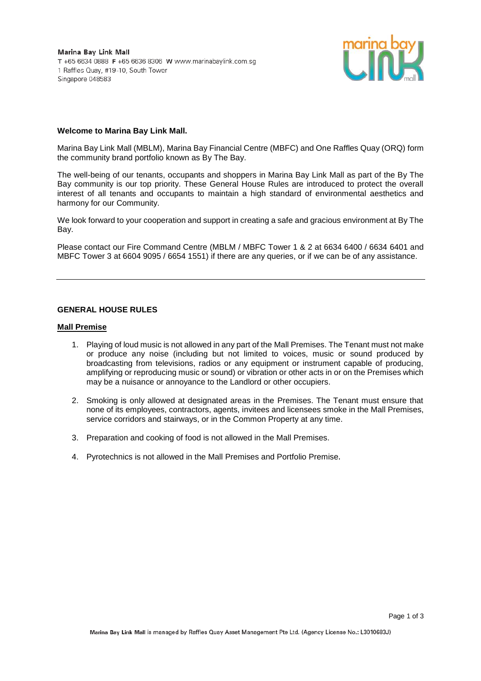

### **Welcome to Marina Bay Link Mall.**

Marina Bay Link Mall (MBLM), Marina Bay Financial Centre (MBFC) and One Raffles Quay (ORQ) form the community brand portfolio known as By The Bay.

The well-being of our tenants, occupants and shoppers in Marina Bay Link Mall as part of the By The Bay community is our top priority. These General House Rules are introduced to protect the overall interest of all tenants and occupants to maintain a high standard of environmental aesthetics and harmony for our Community.

We look forward to your cooperation and support in creating a safe and gracious environment at By The Bay.

Please contact our Fire Command Centre (MBLM / MBFC Tower 1 & 2 at 6634 6400 / 6634 6401 and MBFC Tower 3 at 6604 9095 / 6654 1551) if there are any queries, or if we can be of any assistance.

### **GENERAL HOUSE RULES**

#### **Mall Premise**

- 1. Playing of loud music is not allowed in any part of the Mall Premises. The Tenant must not make or produce any noise (including but not limited to voices, music or sound produced by broadcasting from televisions, radios or any equipment or instrument capable of producing, amplifying or reproducing music or sound) or vibration or other acts in or on the Premises which may be a nuisance or annoyance to the Landlord or other occupiers.
- 2. Smoking is only allowed at designated areas in the Premises. The Tenant must ensure that none of its employees, contractors, agents, invitees and licensees smoke in the Mall Premises, service corridors and stairways, or in the Common Property at any time.
- 3. Preparation and cooking of food is not allowed in the Mall Premises.
- 4. Pyrotechnics is not allowed in the Mall Premises and Portfolio Premise.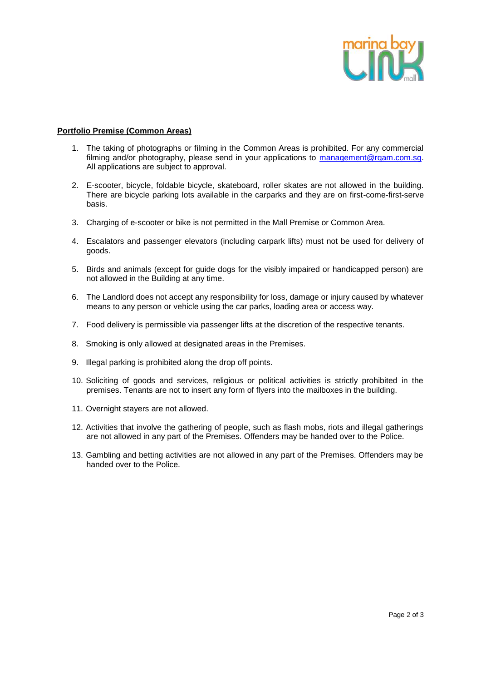

# **Portfolio Premise (Common Areas)**

- 1. The taking of photographs or filming in the Common Areas is prohibited. For any commercial filming and/or photography, please send in your applications to [management@rqam.com.sg.](file://///RQAMVMS02/Dept_Folders/Marketing%20Communications/Marcom/29.%20By%20The%20Bay/9.%20By%20The%20Bay%20Website/management@rqam.com.sg) All applications are subject to approval.
- 2. E-scooter, bicycle, foldable bicycle, skateboard, roller skates are not allowed in the building. There are bicycle parking lots available in the carparks and they are on first-come-first-serve basis.
- 3. Charging of e-scooter or bike is not permitted in the Mall Premise or Common Area.
- 4. Escalators and passenger elevators (including carpark lifts) must not be used for delivery of goods.
- 5. Birds and animals (except for guide dogs for the visibly impaired or handicapped person) are not allowed in the Building at any time.
- 6. The Landlord does not accept any responsibility for loss, damage or injury caused by whatever means to any person or vehicle using the car parks, loading area or access way.
- 7. Food delivery is permissible via passenger lifts at the discretion of the respective tenants.
- 8. Smoking is only allowed at designated areas in the Premises.
- 9. Illegal parking is prohibited along the drop off points.
- 10. Soliciting of goods and services, religious or political activities is strictly prohibited in the premises. Tenants are not to insert any form of flyers into the mailboxes in the building.
- 11. Overnight stayers are not allowed.
- 12. Activities that involve the gathering of people, such as flash mobs, riots and illegal gatherings are not allowed in any part of the Premises. Offenders may be handed over to the Police.
- 13. Gambling and betting activities are not allowed in any part of the Premises. Offenders may be handed over to the Police.